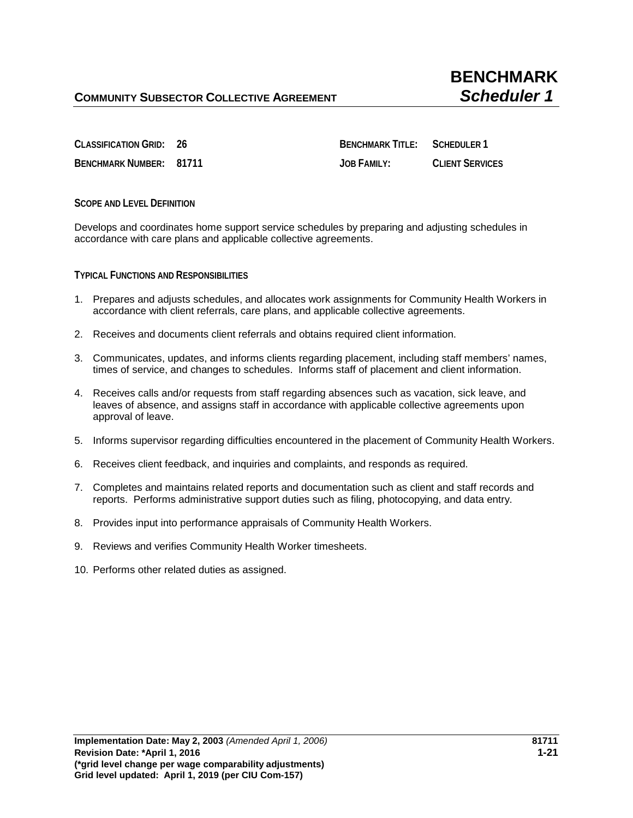**CLASSIFICATION GRID: 26 BENCHMARK TITLE: SCHEDULER 1 BENCHMARK NUMBER: 81711 JOB FAMILY: CLIENT SERVICES**

**SCOPE AND LEVEL DEFINITION**

Develops and coordinates home support service schedules by preparing and adjusting schedules in accordance with care plans and applicable collective agreements.

**TYPICAL FUNCTIONS AND RESPONSIBILITIES** 

- 1. Prepares and adjusts schedules, and allocates work assignments for Community Health Workers in accordance with client referrals, care plans, and applicable collective agreements.
- 2. Receives and documents client referrals and obtains required client information.
- 3. Communicates, updates, and informs clients regarding placement, including staff members' names, times of service, and changes to schedules. Informs staff of placement and client information.
- 4. Receives calls and/or requests from staff regarding absences such as vacation, sick leave, and leaves of absence, and assigns staff in accordance with applicable collective agreements upon approval of leave.
- 5. Informs supervisor regarding difficulties encountered in the placement of Community Health Workers.
- 6. Receives client feedback, and inquiries and complaints, and responds as required.
- 7. Completes and maintains related reports and documentation such as client and staff records and reports. Performs administrative support duties such as filing, photocopying, and data entry.
- 8. Provides input into performance appraisals of Community Health Workers.
- 9. Reviews and verifies Community Health Worker timesheets.
- 10. Performs other related duties as assigned.